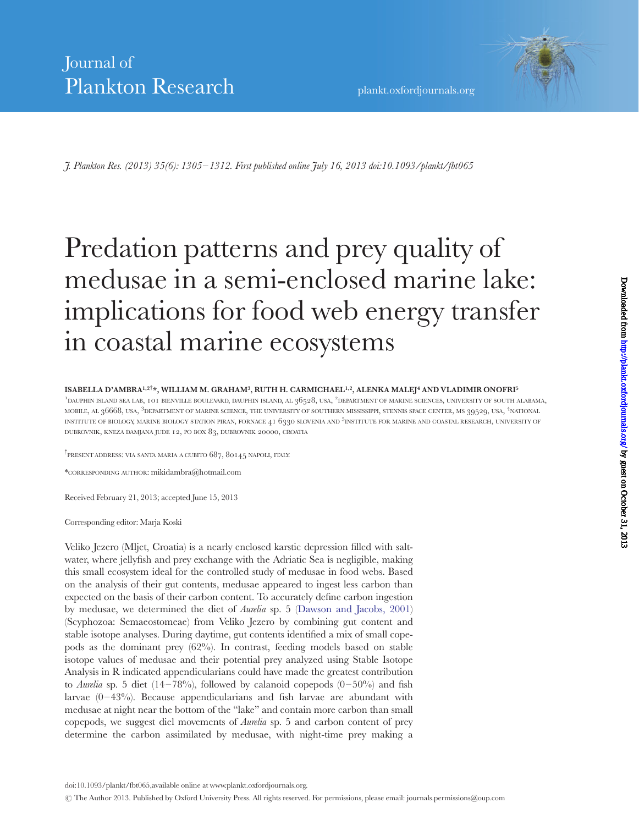J. Plankton Res. (2013) 35(6): 1305 – 1312. First published online July 16, 2013 doi:10.1093/plankt/fbt065

# Predation patterns and prey quality of medusae in a semi-enclosed marine lake: implications for food web energy transfer in coastal marine ecosystems

#### ISABELLA D'AMBRA<sup>1,2†</sup>\*, WILLIAM M. GRAHAM<sup>3</sup>, RUTH H. CARMICHAEL<sup>1,2</sup>, ALENKA MALEJ<sup>4</sup> AND VLADIMIR ONOFRI<sup>5</sup>

<sup>1</sup>DAUPHIN ISLAND SEA LAB, 101 BIENVILLE BOULEVARD, DAUPHIN ISLAND, AL 36528, USA, <sup>2</sup>DEPARTMENT OF MARINE SCIENCES, UNIVERSITY OF SOUTH ALABAMA, MOBILE, AL 36668, USA, <sup>3</sup>DEPARTMENT OF MARINE SCIENCE, THE UNIVERSITY OF SOUTHERN MISSISSIPPI, STENNIS SPACE CENTER, MS 39529, USA, <sup>4</sup>NATIONAL INSTITUTE OF BIOLOGY, MARINE BIOLOGY STATION PIRAN, FORNACE 41 6330 SLOVENIA AND <sup>5</sup>INSTITUTE FOR MARINE AND COASTAL RESEARCH, UNIVERSITY OF DUBROVNIK, KNEZA DAMJANA JUDE 12, PO BOX 83, DUBROVNIK 20000, CROATIA

<sup>†</sup>present address: via santa maria a cubito 687, 80145 napoli, italy.

\*CORRESPONDING AUTHOR: mikidambra@hotmail.com

Received February 21, 2013; accepted June 15, 2013

Corresponding editor: Marja Koski

Veliko Jezero (Mljet, Croatia) is a nearly enclosed karstic depression filled with saltwater, where jellyfish and prey exchange with the Adriatic Sea is negligible, making this small ecosystem ideal for the controlled study of medusae in food webs. Based on the analysis of their gut contents, medusae appeared to ingest less carbon than expected on the basis of their carbon content. To accurately define carbon ingestion by medusae, we determined the diet of Aurelia sp. 5 ([Dawson and Jacobs, 2001\)](#page-6-0) (Scyphozoa: Semaeostomeae) from Veliko Jezero by combining gut content and stable isotope analyses. During daytime, gut contents identified a mix of small copepods as the dominant prey (62%). In contrast, feeding models based on stable isotope values of medusae and their potential prey analyzed using Stable Isotope Analysis in R indicated appendicularians could have made the greatest contribution to Aurelia sp. 5 diet  $(14-78%)$ , followed by calanoid copepods  $(0-50%)$  and fish larvae  $(0-43\%)$ . Because appendicularians and fish larvae are abundant with medusae at night near the bottom of the "lake" and contain more carbon than small copepods, we suggest diel movements of Aurelia sp. 5 and carbon content of prey determine the carbon assimilated by medusae, with night-time prey making a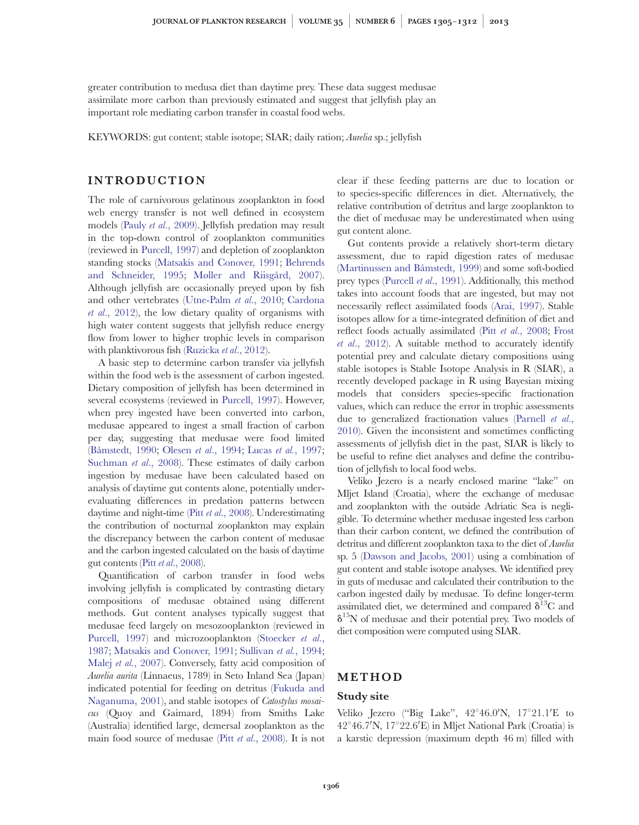greater contribution to medusa diet than daytime prey. These data suggest medusae assimilate more carbon than previously estimated and suggest that jellyfish play an important role mediating carbon transfer in coastal food webs.

KEYWORDS: gut content; stable isotope; SIAR; daily ration; Aurelia sp.; jellyfish

# INTRODUCTION

The role of carnivorous gelatinous zooplankton in food web energy transfer is not well defined in ecosystem models (Pauly et al[., 2009\)](#page-7-0). Jellyfish predation may result in the top-down control of zooplankton communities (reviewed in [Purcell, 1997](#page-7-0)) and depletion of zooplankton standing stocks ([Matsakis and Conover, 1991](#page-7-0); [Behrends](#page-6-0) [and Schneider, 1995](#page-6-0); Møller and Riisgård, 2007). Although jellyfish are occasionally preyed upon by fish and other vertebrates ([Utne-Palm](#page-7-0) et al., 2010; [Cardona](#page-6-0) et al[., 2012\)](#page-6-0), the low dietary quality of organisms with high water content suggests that jellyfish reduce energy flow from lower to higher trophic levels in comparison with planktivorous fish [\(Ruzicka](#page-7-0) et al., 2012).

A basic step to determine carbon transfer via jellyfish within the food web is the assessment of carbon ingested. Dietary composition of jellyfish has been determined in several ecosystems (reviewed in [Purcell, 1997](#page-7-0)). However, when prey ingested have been converted into carbon, medusae appeared to ingest a small fraction of carbon per day, suggesting that medusae were food limited (Båmstedt, 1990; Olesen et al[., 1994;](#page-7-0) Lucas et al.[, 1997;](#page-6-0) [Suchman](#page-7-0) et al., 2008). These estimates of daily carbon ingestion by medusae have been calculated based on analysis of daytime gut contents alone, potentially underevaluating differences in predation patterns between daytime and night-time (Pitt et al[., 2008](#page-7-0)). Underestimating the contribution of nocturnal zooplankton may explain the discrepancy between the carbon content of medusae and the carbon ingested calculated on the basis of daytime gut contents (Pitt et al[., 2008](#page-7-0)).

Quantification of carbon transfer in food webs involving jellyfish is complicated by contrasting dietary compositions of medusae obtained using different methods. Gut content analyses typically suggest that medusae feed largely on mesozooplankton (reviewed in [Purcell, 1997](#page-7-0)) and microzooplankton [\(Stoecker](#page-7-0) et al., [1987](#page-7-0); [Matsakis and Conover, 1991;](#page-7-0) [Sullivan](#page-7-0) et al., 1994; Malej et al.[, 2007\)](#page-7-0). Conversely, fatty acid composition of Aurelia aurita (Linnaeus, 1789) in Seto Inland Sea (Japan) indicated potential for feeding on detritus [\(Fukuda and](#page-6-0) [Naganuma, 2001\)](#page-6-0), and stable isotopes of *Catostylus mosai*cus (Quoy and Gaimard, 1894) from Smiths Lake (Australia) identified large, demersal zooplankton as the main food source of medusae (Pitt et al[., 2008](#page-7-0)). It is not clear if these feeding patterns are due to location or to species-specific differences in diet. Alternatively, the relative contribution of detritus and large zooplankton to the diet of medusae may be underestimated when using gut content alone.

Gut contents provide a relatively short-term dietary assessment, due to rapid digestion rates of medusae (Martinussen and Båmstedt, 1999) and some soft-bodied prey types [\(Purcell](#page-7-0) et al., 1991). Additionally, this method takes into account foods that are ingested, but may not necessarily reflect assimilated foods [\(Arai, 1997](#page-6-0)). Stable isotopes allow for a time-integrated definition of diet and reflect foods actually assimilated (Pitt et al[., 2008](#page-7-0); [Frost](#page-6-0) et al[., 2012](#page-6-0)). A suitable method to accurately identify potential prey and calculate dietary compositions using stable isotopes is Stable Isotope Analysis in R (SIAR), a recently developed package in R using Bayesian mixing models that considers species-specific fractionation values, which can reduce the error in trophic assessments due to generalized fractionation values ([Parnell](#page-7-0) et al., [2010](#page-7-0)). Given the inconsistent and sometimes conflicting assessments of jellyfish diet in the past, SIAR is likely to be useful to refine diet analyses and define the contribution of jellyfish to local food webs.

Veliko Jezero is a nearly enclosed marine "lake" on Mljet Island (Croatia), where the exchange of medusae and zooplankton with the outside Adriatic Sea is negligible. To determine whether medusae ingested less carbon than their carbon content, we defined the contribution of detritus and different zooplankton taxa to the diet of Aurelia sp. 5 [\(Dawson and Jacobs, 2001\)](#page-6-0) using a combination of gut content and stable isotope analyses. We identified prey in guts of medusae and calculated their contribution to the carbon ingested daily by medusae. To define longer-term assimilated diet, we determined and compared  $\delta^{13}C$  and  $\delta^{15}N$  of medusae and their potential prey. Two models of diet composition were computed using SIAR.

# METHOD

#### Study site

Veliko Jezero ("Big Lake", 42°46.0'N, 17°21.1'E to 42°46.7'N, 17°22.6'E) in Mljet National Park (Croatia) is a karstic depression (maximum depth 46 m) filled with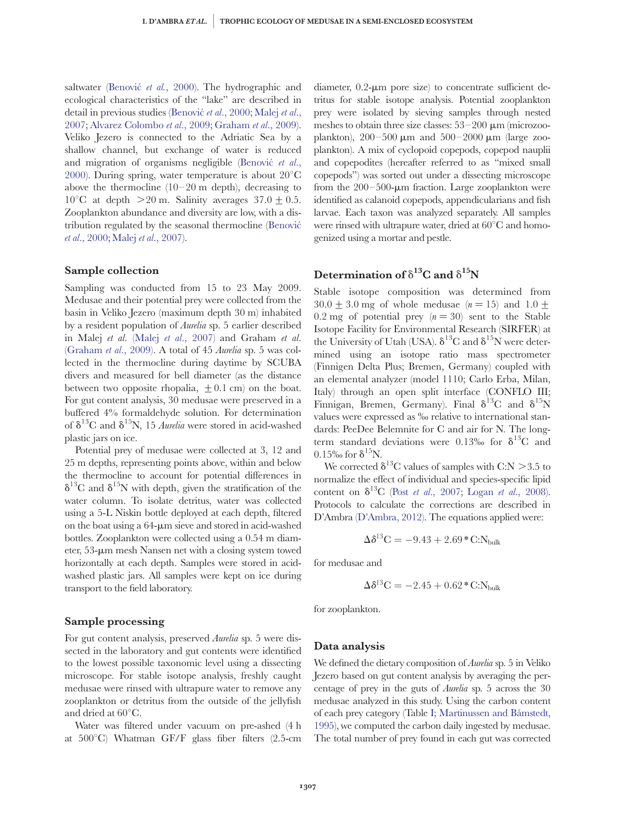saltwater (Benović et al., 2000). The hydrographic and ecological characteristics of the "lake" are described in detail in previous studies (Benović et al., 2000; [Malej](#page-7-0) et al., [2007](#page-7-0); [Alvarez Colombo](#page-6-0) et al., 2009; [Graham](#page-6-0) et al., 2009). Veliko Jezero is connected to the Adriatic Sea by a shallow channel, but exchange of water is reduced and migration of organisms negligible (Benovic  $et$   $al$ ., [2000](#page-6-0)). During spring, water temperature is about  $20^{\circ}$ C above the thermocline  $(10-20 \text{ m depth})$ , decreasing to  $10^{\circ}$ C at depth  $>20$  m. Salinity averages  $37.0+0.5$ . Zooplankton abundance and diversity are low, with a distribution regulated by the seasonal thermocline [\(Benovic´](#page-6-0) et al[., 2000;](#page-6-0) Malej et al[., 2007\)](#page-7-0).

#### Sample collection

Sampling was conducted from 15 to 23 May 2009. Medusae and their potential prey were collected from the basin in Veliko Jezero (maximum depth 30 m) inhabited by a resident population of Aurelia sp. 5 earlier described in Malej et al. (Malej et al[., 2007\)](#page-7-0) and Graham et al. [\(Graham](#page-6-0) et al., 2009). A total of 45 Aurelia sp. 5 was collected in the thermocline during daytime by SCUBA divers and measured for bell diameter (as the distance between two opposite rhopalia,  $\pm$  0.1 cm) on the boat. For gut content analysis, 30 medusae were preserved in a buffered 4% formaldehyde solution. For determination of  $\delta^{13}$ C and  $\delta^{15}$ N, 15 *Aurelia* were stored in acid-washed plastic jars on ice.

Potential prey of medusae were collected at 3, 12 and 25 m depths, representing points above, within and below the thermocline to account for potential differences in  $\delta^{13}$ C and  $\delta^{15}$ N with depth, given the stratification of the water column. To isolate detritus, water was collected using a 5-L Niskin bottle deployed at each depth, filtered on the boat using a  $64$ - $\mu$ m sieve and stored in acid-washed bottles. Zooplankton were collected using a 0.54 m diameter, 53- $\mu$ m mesh Nansen net with a closing system towed horizontally at each depth. Samples were stored in acidwashed plastic jars. All samples were kept on ice during transport to the field laboratory.

# Sample processing

For gut content analysis, preserved Aurelia sp. 5 were dissected in the laboratory and gut contents were identified to the lowest possible taxonomic level using a dissecting microscope. For stable isotope analysis, freshly caught medusae were rinsed with ultrapure water to remove any zooplankton or detritus from the outside of the jellyfish and dried at  $60^{\circ}$ C.

Water was filtered under vacuum on pre-ashed (4 h at  $500^{\circ}$ C) Whatman GF/F glass fiber filters (2.5-cm diameter,  $0.2$ - $\mu$ m pore size) to concentrate sufficient detritus for stable isotope analysis. Potential zooplankton prey were isolated by sieving samples through nested meshes to obtain three size classes:  $53-200 \mu m$  (microzooplankton),  $200-500 \mu m$  and  $500-2000 \mu m$  (large zooplankton). A mix of cyclopoid copepods, copepod nauplii and copepodites (hereafter referred to as "mixed small copepods") was sorted out under a dissecting microscope from the  $200-500$ - $\mu$ m fraction. Large zooplankton were identified as calanoid copepods, appendicularians and fish larvae. Each taxon was analyzed separately. All samples were rinsed with ultrapure water, dried at  $60^{\circ}$ C and homogenized using a mortar and pestle.

# Determination of  $\delta^{13}$ C and  $\delta^{15}$ N

Stable isotope composition was determined from  $30.0 + 3.0$  mg of whole medusae  $(n = 15)$  and  $1.0 +$ 0.2 mg of potential prey  $(n = 30)$  sent to the Stable Isotope Facility for Environmental Research (SIRFER) at the University of Utah (USA).  $\delta^{13}$ C and  $\delta^{15}$ N were determined using an isotope ratio mass spectrometer (Finnigen Delta Plus; Bremen, Germany) coupled with an elemental analyzer (model 1110; Carlo Erba, Milan, Italy) through an open split interface (CONFLO III; Finnigan, Bremen, Germany). Final  $\delta^{13}C$  and  $\delta^{15}N$ values were expressed as ‰ relative to international standards: PeeDee Belemnite for C and air for N. The longterm standard deviations were 0.13‰ for  $\delta^{13}C$  and  $0.15\%$  for  $\delta^{15}N$ .

We corrected  $\delta^{13}$ C values of samples with C:N  $>$  3.5 to normalize the effect of individual and species-specific lipid content on  $\delta^{13}C$  (Post *et al.*, 2007; Logan *et al.*, 2008). Protocols to calculate the corrections are described in D'Ambra [\(D'Ambra, 2012\).](#page-6-0) The equations applied were:

$$
\Delta \delta^{13} \text{C} = -9.43 + 2.69 \text{ °C} \text{C} \text{N}_{\text{bulk}}
$$

for medusae and

$$
\Delta \delta^{13} \text{C} = -2.45 + 0.62 \cdot \text{C} : \text{N}_{\text{bulk}}
$$

for zooplankton.

#### Data analysis

We defined the dietary composition of *Aurelia* sp. 5 in Veliko Jezero based on gut content analysis by averaging the percentage of prey in the guts of Aurelia sp. 5 across the 30 medusae analyzed in this study. Using the carbon content of each prey category (Table [I](#page-3-0); Martinussen and Båmstedt, [1995](#page-7-0)), we computed the carbon daily ingested by medusae. The total number of prey found in each gut was corrected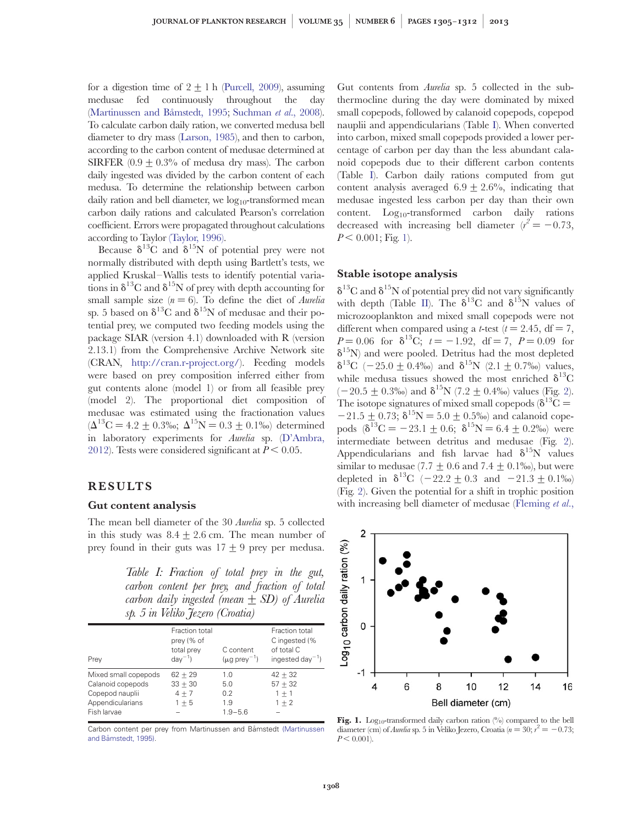<span id="page-3-0"></span>for a digestion time of  $2 + 1$  h [\(Purcell, 2009](#page-7-0)), assuming medusae fed continuously throughout the day (Martinussen and Båmstedt, 1995; [Suchman](#page-7-0) et al., 2008). To calculate carbon daily ration, we converted medusa bell diameter to dry mass [\(Larson, 1985](#page-6-0)), and then to carbon, according to the carbon content of medusae determined at SIRFER  $(0.9 \pm 0.3\%$  of medusa dry mass). The carbon daily ingested was divided by the carbon content of each medusa. To determine the relationship between carbon daily ration and bell diameter, we  $log_{10}$ -transformed mean carbon daily rations and calculated Pearson's correlation coefficient. Errors were propagated throughout calculations according to Taylor [\(Taylor, 1996\).](#page-7-0)

Because  $\delta^{13}$ C and  $\delta^{15}$ N of potential prey were not normally distributed with depth using Bartlett's tests, we applied Kruskal–Wallis tests to identify potential variations in  $\delta^{13}$ C and  $\delta^{15}$ N of prey with depth accounting for small sample size  $(n = 6)$ . To define the diet of *Aurelia* sp. 5 based on  $\delta^{13}$ C and  $\delta^{15}$ N of medusae and their potential prey, we computed two feeding models using the package SIAR (version 4.1) downloaded with R (version 2.13.1) from the Comprehensive Archive Network site (CRAN, [http://cran.r-project.org/\)](http://cran.r-project.org/). Feeding models were based on prey composition inferred either from gut contents alone (model 1) or from all feasible prey (model 2). The proportional diet composition of medusae was estimated using the fractionation values  $(\Delta^{13}C = 4.2 \pm 0.3\%$ ;  $\Delta^{15}N = 0.3 \pm 0.1\%$  determined in laboratory experiments for Aurelia sp. ([D'Ambra,](#page-6-0) [2012](#page-6-0)). Tests were considered significant at  $P < 0.05$ .

# RESULTS

#### Gut content analysis

The mean bell diameter of the 30 Aurelia sp. 5 collected in this study was  $8.4 \pm 2.6$  cm. The mean number of prey found in their guts was  $17+9$  prey per medusa.

Table I: Fraction of total prey in the gut, carbon content per prey, and fraction of total carbon daily ingested (mean  $\pm$  SD) of Aurelia sp. 5 in Veliko Jezero (Croatia)

| Prey                                                                                            | Fraction total<br>prey (% of<br>total prev<br>$day^{-1}$ | C content<br>$(\mu q \text{ prev}^{-1})$ | Fraction total<br>C ingested (%<br>of total C<br>ingested day <sup>-1</sup> ) |
|-------------------------------------------------------------------------------------------------|----------------------------------------------------------|------------------------------------------|-------------------------------------------------------------------------------|
| Mixed small copepods<br>Calanoid copepods<br>Copepod nauplii<br>Appendicularians<br>Fish larvae | $62 + 29$<br>$33 + 30$<br>$4 + 7$<br>$1 + 5$             | 1.0<br>5.0<br>0.2<br>1.9<br>$1.9 - 5.6$  | $42 + 32$<br>$57 + 32$<br>$1 + 1$<br>$1 + 2$                                  |

Carbon content per prey from Martinussen and Båmstedt [\(Martinussen](#page-7-0) and Båmstedt, 1995).

Gut contents from Aurelia sp. 5 collected in the subthermocline during the day were dominated by mixed small copepods, followed by calanoid copepods, copepod nauplii and appendicularians (Table I). When converted into carbon, mixed small copepods provided a lower percentage of carbon per day than the less abundant calanoid copepods due to their different carbon contents (Table I). Carbon daily rations computed from gut content analysis averaged  $6.9 \pm 2.6\%$ , indicating that medusae ingested less carbon per day than their own content.  $Log_{10}$ -transformed carbon daily rations decreased with increasing bell diameter  $(r^2 = -0.73,$  $P < 0.001$ ; Fig. 1).

#### Stable isotope analysis

 $\delta^{13}$ C and  $\delta^{15}$ N of potential prey did not vary significantly with depth (Table [II\)](#page-4-0). The  $\delta^{13}$ C and  $\delta^{15}$ N values of microzooplankton and mixed small copepods were not different when compared using a *t*-test ( $t = 2.45$ , df = 7,  $P = 0.06$  for  $\delta^{13}C$ ;  $t = -1.92$ , df = 7,  $P = 0.09$  for  $\delta^{15}$ N) and were pooled. Detritus had the most depleted  $\delta^{13}$ C (-25.0+0.4‰) and  $\delta^{15}$ N (2.1+0.7‰) values, while medusa tissues showed the most enriched  $\delta^{13}C$  $(-20.5\pm0.3\%)$  $(-20.5\pm0.3\%)$  $(-20.5\pm0.3\%)$  and  $\delta^{15}N$  (7.2  $\pm$  0.4‰) values (Fig. 2). The isotope signatures of mixed small copepods ( $\delta^{13}C =$  $-21.5\pm0.73$ ;  $\delta^{15}N = 5.0\pm0.5%$  and calanoid copepods  $(\delta^{13}C = -23.1 + 0.6; \delta^{15}N = 6.4 + 0.2\%)$  were intermediate between detritus and medusae (Fig. [2](#page-4-0)). Appendicularians and fish larvae had  $\delta^{15}N$  values similar to medusae (7.7  $\pm$  0.6 and 7.4  $\pm$  0.1‰), but were depleted in  $\delta^{13}C$  (-22.2  $\pm$  0.3 and -21.3  $\pm$  0.1‰) (Fig. [2\)](#page-4-0). Given the potential for a shift in trophic position with increasing bell diameter of medusae [\(Fleming](#page-6-0) et al.,



Fig. 1. Log<sub>10</sub>-transformed daily carbon ration  $\binom{0}{0}$  compared to the bell diameter (cm) of *Aurelia* sp. 5 in Veliko Jezero, Croatia ( $n = 30$ ;  $r^2 = -0.73$ ;  $P < 0.001$ ).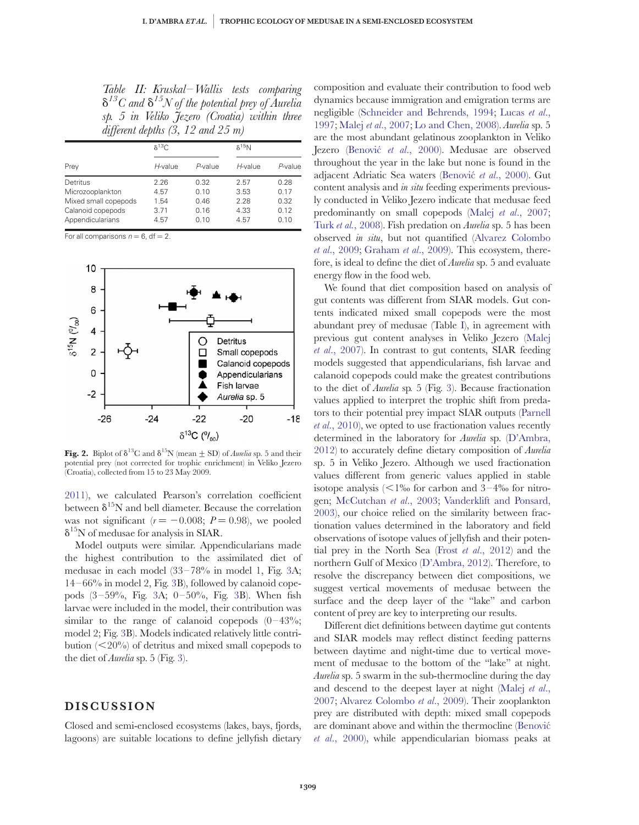<span id="page-4-0"></span>Table II: Kruskal – Wallis tests comparing  $\delta^{13}C$  and  $\delta^{15}N$  of the potential prey of Aurelia sp. 5 in Veliko Jezero (Croatia) within three different depths  $(3, 12 \text{ and } 25 \text{ m})$ 

|                                                                                               | $\delta^{13}C$                       |                                      | $\delta^{15}N$                       |                                      |  |
|-----------------------------------------------------------------------------------------------|--------------------------------------|--------------------------------------|--------------------------------------|--------------------------------------|--|
| Prey                                                                                          | H-value                              | P-value                              | H-value                              | P-value                              |  |
| Detritus<br>Microzooplankton<br>Mixed small copepods<br>Calanoid copepods<br>Appendicularians | 2.26<br>4.57<br>1.54<br>3.71<br>4.57 | 0.32<br>0.10<br>0.46<br>0.16<br>0.10 | 2.57<br>3.53<br>2.28<br>4.33<br>4.57 | 0.28<br>0.17<br>0.32<br>0.12<br>0.10 |  |

For all comparisons  $n = 6$ , df = 2.



Fig. 2. Biplot of  $\delta^{13}C$  and  $\delta^{15}N$  (mean  $\pm$  SD) of *Aurelia* sp. 5 and their potential prey (not corrected for trophic enrichment) in Veliko Jezero (Croatia), collected from 15 to 23 May 2009.

[2011](#page-6-0)), we calculated Pearson's correlation coefficient between  $\delta^{15}N$  and bell diameter. Because the correlation was not significant ( $r = -0.008$ ;  $P = 0.98$ ), we pooled  $\delta^{15}$ N of medusae for analysis in SIAR.

Model outputs were similar. Appendicularians made the highest contribution to the assimilated diet of medusae in each model (33–78% in model 1, Fig. [3A](#page-5-0); 14–66% in model 2, Fig. [3B](#page-5-0)), followed by calanoid copepods (3–59%, Fig. [3A](#page-5-0); 0–50%, Fig. [3](#page-5-0)B). When fish larvae were included in the model, their contribution was similar to the range of calanoid copepods  $(0-43\%;$ model 2; Fig. [3B](#page-5-0)). Models indicated relatively little contribution  $(<20\%)$  of detritus and mixed small copepods to the diet of Aurelia sp. 5 (Fig. [3](#page-5-0)).

# DISCUSSION

Closed and semi-enclosed ecosystems (lakes, bays, fjords, lagoons) are suitable locations to define jellyfish dietary

composition and evaluate their contribution to food web dynamics because immigration and emigration terms are negligible ([Schneider and Behrends, 1994](#page-7-0); [Lucas](#page-6-0) et al., [1997;](#page-6-0) Malej et al[., 2007](#page-7-0); [Lo and Chen, 2008\)](#page-6-0). Aurelia sp. 5 are the most abundant gelatinous zooplankton in Veliko Jezero (Benović et al., 2000). Medusae are observed throughout the year in the lake but none is found in the adjacent Adriatic Sea waters (Benović et al., 2000). Gut content analysis and in situ feeding experiments previously conducted in Veliko Jezero indicate that medusae feed predominantly on small copepods (Malej et al[., 2007](#page-7-0); Turk et al.[, 2008\)](#page-7-0). Fish predation on Aurelia sp. 5 has been observed in situ, but not quantified [\(Alvarez Colombo](#page-6-0) et al[., 2009](#page-6-0); [Graham](#page-6-0) et al., 2009). This ecosystem, therefore, is ideal to define the diet of Aurelia sp. 5 and evaluate energy flow in the food web.

We found that diet composition based on analysis of gut contents was different from SIAR models. Gut contents indicated mixed small copepods were the most abundant prey of medusae (Table [I](#page-3-0)), in agreement with previous gut content analyses in Veliko Jezero ([Malej](#page-7-0) et al[., 2007](#page-7-0)). In contrast to gut contents, SIAR feeding models suggested that appendicularians, fish larvae and calanoid copepods could make the greatest contributions to the diet of Aurelia sp. 5 (Fig. [3](#page-5-0)). Because fractionation values applied to interpret the trophic shift from predators to their potential prey impact SIAR outputs ([Parnell](#page-7-0) et al[., 2010](#page-7-0)), we opted to use fractionation values recently determined in the laboratory for Aurelia sp. [\(D'Ambra,](#page-6-0) [2012\)](#page-6-0) to accurately define dietary composition of Aurelia sp. 5 in Veliko Jezero. Although we used fractionation values different from generic values applied in stable isotope analysis  $\langle$  1‰ for carbon and 3–4‰ for nitrogen; [McCutchan](#page-7-0) et al., 2003; [Vanderklift and Ponsard,](#page-7-0) [2003\)](#page-7-0), our choice relied on the similarity between fractionation values determined in the laboratory and field observations of isotope values of jellyfish and their potential prey in the North Sea (Frost et al[., 2012](#page-6-0)) and the northern Gulf of Mexico ([D'Ambra, 2012](#page-6-0)). Therefore, to resolve the discrepancy between diet compositions, we suggest vertical movements of medusae between the surface and the deep layer of the "lake" and carbon content of prey are key to interpreting our results.

Different diet definitions between daytime gut contents and SIAR models may reflect distinct feeding patterns between daytime and night-time due to vertical movement of medusae to the bottom of the "lake" at night. Aurelia sp. 5 swarm in the sub-thermocline during the day and descend to the deepest layer at night ([Malej](#page-7-0) et al., [2007;](#page-7-0) [Alvarez Colombo](#page-6-0) et al., 2009). Their zooplankton prey are distributed with depth: mixed small copepods are dominant above and within the thermocline [\(Benovic´](#page-6-0) et al[., 2000\)](#page-6-0), while appendicularian biomass peaks at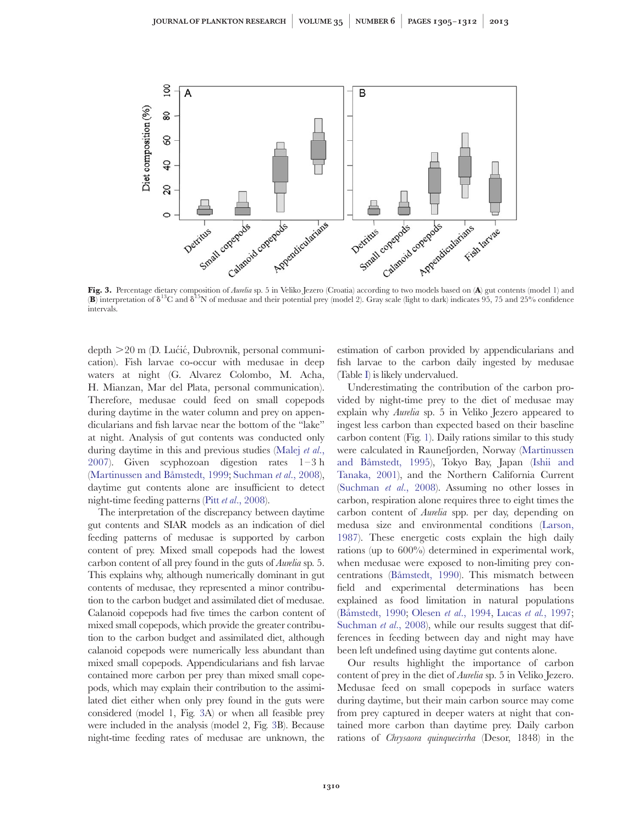<span id="page-5-0"></span>

Fig. 3. Percentage dietary composition of Aurelia sp. 5 in Veliko Jezero (Croatia) according to two models based on (A) gut contents (model 1) and **(B)** interpretation of  $\delta^{13}C$  and  $\delta^{15}N$  of medusae and their potential prey (model 2). Gray scale (light to dark) indicates 95, 75 and 25% confidence intervals.

 $depth$   $>$  20 m (D. Luctic, Dubrovnik, personal communication). Fish larvae co-occur with medusae in deep waters at night (G. Alvarez Colombo, M. Acha, H. Mianzan, Mar del Plata, personal communication). Therefore, medusae could feed on small copepods during daytime in the water column and prey on appendicularians and fish larvae near the bottom of the "lake" at night. Analysis of gut contents was conducted only during daytime in this and previous studies ([Malej](#page-7-0) et al., [2007](#page-7-0)). Given scyphozoan digestion rates 1–3 h (Martinussen and Båmstedt, 1999; [Suchman](#page-7-0) et al., 2008), daytime gut contents alone are insufficient to detect night-time feeding patterns (Pitt et al[., 2008](#page-7-0)).

The interpretation of the discrepancy between daytime gut contents and SIAR models as an indication of diel feeding patterns of medusae is supported by carbon content of prey. Mixed small copepods had the lowest carbon content of all prey found in the guts of *Aurelia* sp. 5. This explains why, although numerically dominant in gut contents of medusae, they represented a minor contribution to the carbon budget and assimilated diet of medusae. Calanoid copepods had five times the carbon content of mixed small copepods, which provide the greater contribution to the carbon budget and assimilated diet, although calanoid copepods were numerically less abundant than mixed small copepods. Appendicularians and fish larvae contained more carbon per prey than mixed small copepods, which may explain their contribution to the assimilated diet either when only prey found in the guts were considered (model 1, Fig. 3A) or when all feasible prey were included in the analysis (model 2, Fig. 3B). Because night-time feeding rates of medusae are unknown, the

estimation of carbon provided by appendicularians and fish larvae to the carbon daily ingested by medusae (Table [I](#page-3-0)) is likely undervalued.

Underestimating the contribution of the carbon provided by night-time prey to the diet of medusae may explain why Aurelia sp. 5 in Veliko Jezero appeared to ingest less carbon than expected based on their baseline carbon content (Fig. [1](#page-3-0)). Daily rations similar to this study were calculated in Raunefjorden, Norway [\(Martinussen](#page-7-0) and Båmstedt, 1995), Tokyo Bay, Japan ([Ishii and](#page-6-0) [Tanaka, 2001\)](#page-6-0), and the Northern California Current ([Suchman](#page-7-0) et al., 2008). Assuming no other losses in carbon, respiration alone requires three to eight times the carbon content of Aurelia spp. per day, depending on medusa size and environmental conditions ([Larson,](#page-6-0) [1987](#page-6-0)). These energetic costs explain the high daily rations (up to 600%) determined in experimental work, when medusae were exposed to non-limiting prey concentrations (Båmstedt, 1990). This mismatch between field and experimental determinations has been explained as food limitation in natural populations (Båmstedt, 1990; Olesen et al[., 1994,](#page-7-0) Lucas et al.[, 1997;](#page-6-0) [Suchman](#page-7-0) et al., 2008), while our results suggest that differences in feeding between day and night may have been left undefined using daytime gut contents alone.

Our results highlight the importance of carbon content of prey in the diet of Aurelia sp. 5 in Veliko Jezero. Medusae feed on small copepods in surface waters during daytime, but their main carbon source may come from prey captured in deeper waters at night that contained more carbon than daytime prey. Daily carbon rations of Chrysaora quinquecirrha (Desor, 1848) in the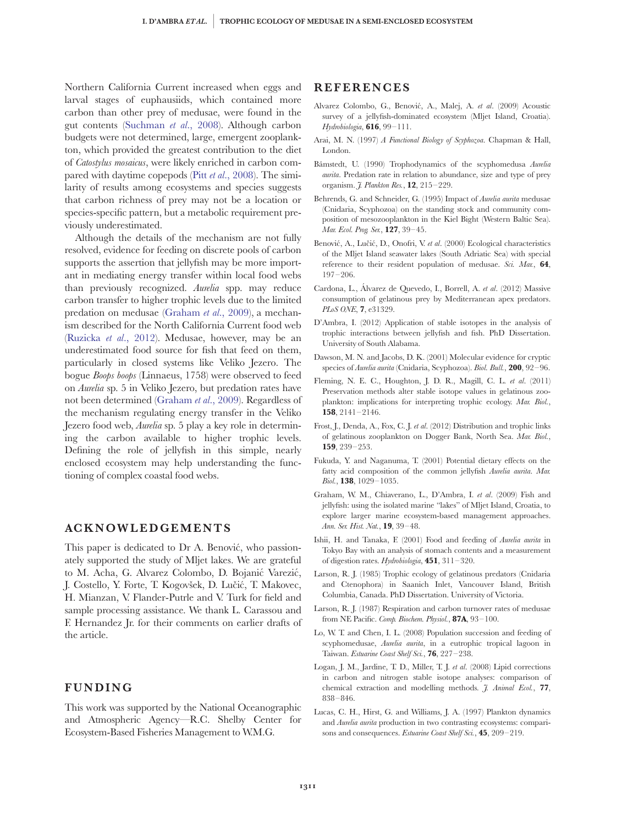<span id="page-6-0"></span>Northern California Current increased when eggs and larval stages of euphausiids, which contained more carbon than other prey of medusae, were found in the gut contents [\(Suchman](#page-7-0) et al., 2008). Although carbon budgets were not determined, large, emergent zooplankton, which provided the greatest contribution to the diet of Catostylus mosaicus, were likely enriched in carbon compared with daytime copepods (Pitt et al[., 2008\)](#page-7-0). The similarity of results among ecosystems and species suggests that carbon richness of prey may not be a location or species-specific pattern, but a metabolic requirement previously underestimated.

Although the details of the mechanism are not fully resolved, evidence for feeding on discrete pools of carbon supports the assertion that jellyfish may be more important in mediating energy transfer within local food webs than previously recognized. Aurelia spp. may reduce carbon transfer to higher trophic levels due to the limited predation on medusae (Graham et al., 2009), a mechanism described for the North California Current food web [\(Ruzicka](#page-7-0) et al., 2012). Medusae, however, may be an underestimated food source for fish that feed on them, particularly in closed systems like Veliko Jezero. The bogue Boops boops (Linnaeus, 1758) were observed to feed on Aurelia sp. 5 in Veliko Jezero, but predation rates have not been determined (Graham et al., 2009). Regardless of the mechanism regulating energy transfer in the Veliko Jezero food web, Aurelia sp. 5 play a key role in determining the carbon available to higher trophic levels. Defining the role of jellyfish in this simple, nearly enclosed ecosystem may help understanding the functioning of complex coastal food webs.

# ACKNOWLEDGEMENTS

This paper is dedicated to Dr A. Benović, who passionately supported the study of Mljet lakes. We are grateful to M. Acha, G. Alvarez Colombo, D. Bojanić Varezić, J. Costello, Y. Forte, T. Kogovšek, D. Lučić, T. Makovec, H. Mianzan, V. Flander-Putrle and V. Turk for field and sample processing assistance. We thank L. Carassou and F. Hernandez Jr. for their comments on earlier drafts of the article.

# FUNDING

This work was supported by the National Oceanographic and Atmospheric Agency—R.C. Shelby Center for Ecosystem-Based Fisheries Management to W.M.G.

#### **REFERENCES**

- Alvarez Colombo, G., Benović, A., Malej, A. et al. (2009) Acoustic survey of a jellyfish-dominated ecosystem (Mljet Island, Croatia). Hydrobiologia, 616, 99–111.
- Arai, M. N. (1997) A Functional Biology of Scyphozoa. Chapman & Hall, London.
- Båmstedt, U. (1990) Trophodynamics of the scyphomedusa Aurelia aurita. Predation rate in relation to abundance, size and type of prey organism. *J. Plankton Res.*, **12**, 215-229.
- Behrends, G. and Schneider, G. (1995) Impact of Aurelia aurita medusae (Cnidaria, Scyphozoa) on the standing stock and community composition of mesozooplankton in the Kiel Bight (Western Baltic Sea). Mar. Ecol. Prog. Ser., 127, 39–45.
- Benović, A., Lučić, D., Onofri, V. et al. (2000) Ecological characteristics of the Mljet Island seawater lakes (South Adriatic Sea) with special reference to their resident population of medusae. Sci. Mar., 64, 197–206.
- Cardona, L., Álvarez de Quevedo, I., Borrell, A. et al. (2012) Massive consumption of gelatinous prey by Mediterranean apex predators. PLoS ONE, **7**, e31329.
- D'Ambra, I. (2012) Application of stable isotopes in the analysis of trophic interactions between jellyfish and fish. PhD Dissertation. University of South Alabama.
- Dawson, M. N. and Jacobs, D. K. (2001) Molecular evidence for cryptic species of Aurelia aurita (Cnidaria, Scyphozoa). Biol. Bull., 200, 92-96.
- Fleming, N. E. C., Houghton, J. D. R., Magill, C. L. et al. (2011) Preservation methods alter stable isotope values in gelatinous zooplankton: implications for interpreting trophic ecology. Mar. Biol., 158, 2141–2146.
- Frost, J., Denda, A., Fox, C. J. et al. (2012) Distribution and trophic links of gelatinous zooplankton on Dogger Bank, North Sea. Mar. Biol., 159, 239–253.
- Fukuda, Y. and Naganuma, T. (2001) Potential dietary effects on the fatty acid composition of the common jellyfish Aurelia aurita. Mar. Biol., 138, 1029–1035.
- Graham, W. M., Chiaverano, L., D'Ambra, I. et al. (2009) Fish and jellyfish: using the isolated marine "lakes" of Mljet Island, Croatia, to explore larger marine ecosystem-based management approaches. Ann. Ser. Hist. Nat., 19, 39–48.
- Ishii, H. and Tanaka, F. (2001) Food and feeding of Aurelia aurita in Tokyo Bay with an analysis of stomach contents and a measurement of digestion rates. Hydrobiologia,  $451$ ,  $311-320$ .
- Larson, R. J. (1985) Trophic ecology of gelatinous predators (Cnidaria and Ctenophora) in Saanich Inlet, Vancouver Island, British Columbia, Canada. PhD Dissertation. University of Victoria.
- Larson, R. J. (1987) Respiration and carbon turnover rates of medusae from NE Pacific. Comp. Biochem. Physiol., 87A, 93-100.
- Lo, W. T. and Chen, I. L. (2008) Population succession and feeding of scyphomedusae, Aurelia aurita, in a eutrophic tropical lagoon in Taiwan. Estuarine Coast Shelf Sci., 76, 227–238.
- Logan, J. M., Jardine, T. D., Miller, T. J. et al. (2008) Lipid corrections in carbon and nitrogen stable isotope analyses: comparison of chemical extraction and modelling methods. *J. Animal Ecol.*, 77, 838–846.
- Lucas, C. H., Hirst, G. and Williams, J. A. (1997) Plankton dynamics and Aurelia aurita production in two contrasting ecosystems: comparisons and consequences. Estuarine Coast Shelf Sci., 45, 209-219.